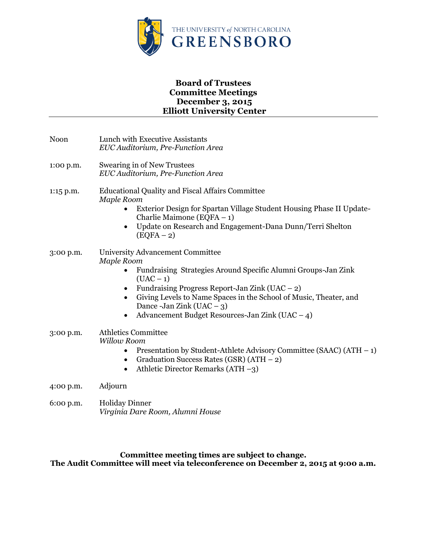

# **Board of Trustees Committee Meetings December 3, 2015 Elliott University Center**

| Noon      | Lunch with Executive Assistants<br>EUC Auditorium, Pre-Function Area                                                                                                                                                                                                                                                                                          |
|-----------|---------------------------------------------------------------------------------------------------------------------------------------------------------------------------------------------------------------------------------------------------------------------------------------------------------------------------------------------------------------|
| 1:00 p.m. | Swearing in of New Trustees<br>EUC Auditorium, Pre-Function Area                                                                                                                                                                                                                                                                                              |
| 1:15 p.m. | <b>Educational Quality and Fiscal Affairs Committee</b><br><b>Maple Room</b><br>Exterior Design for Spartan Village Student Housing Phase II Update-<br>Charlie Maimone (EQFA $-1$ )<br>Update on Research and Engagement-Dana Dunn/Terri Shelton<br>$(EQFA-2)$                                                                                               |
| 3:00 p.m. | University Advancement Committee<br>Maple Room<br>Fundraising Strategies Around Specific Alumni Groups-Jan Zink<br>$(UAC - 1)$<br>Fundraising Progress Report-Jan Zink (UAC $-$ 2)<br>٠<br>Giving Levels to Name Spaces in the School of Music, Theater, and<br>$\bullet$<br>Dance -Jan Zink (UAC $-$ 3)<br>Advancement Budget Resources-Jan Zink (UAC $-$ 4) |
| 3:00 p.m. | <b>Athletics Committee</b><br><b>Willow Room</b><br>Presentation by Student-Athlete Advisory Committee (SAAC) $(ATH - 1)$<br>$\bullet$<br>Graduation Success Rates (GSR) $(ATH - 2)$<br>٠<br>Athletic Director Remarks (ATH $-3$ )<br>$\bullet$                                                                                                               |
| 4:00 p.m. | Adjourn                                                                                                                                                                                                                                                                                                                                                       |
| 6:00 p.m. | <b>Holiday Dinner</b><br>Virginia Dare Room, Alumni House                                                                                                                                                                                                                                                                                                     |

**Committee meeting times are subject to change. The Audit Committee will meet via teleconference on December 2, 2015 at 9:00 a.m.**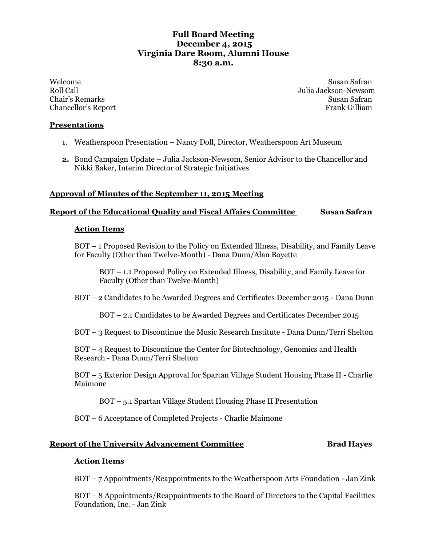# **Full Board Meeting December 4, 2015 Virginia Dare Room, Alumni House 8:30 a.m.**

Welcome Susan Safran Susan Susan Safran Susan Susan Safran Susan Safran Susan Safran Susan Safran Susan Safran Roll Call Julia Jackson-Newsom Chair's Remarks Susan Safran Susan Safran Susan Safran Susan Safran Susan Safran Susan Safran Susan Safran Susan Safran Susan Safran Susan Safran Susan Safran Susan Safran Susan Safran Susan Safran Susan Safran Susan Safra Chancellor's Report Frank Gilliam

## **Presentations**

- 1. Weatherspoon Presentation Nancy Doll, Director, Weatherspoon Art Museum
- **2.** Bond Campaign Update Julia Jackson-Newsom, Senior Advisor to the Chancellor and Nikki Baker, Interim Director of Strategic Initiatives

# **Approval of Minutes of the September 11, 2015 Meeting**

# **Report of the Educational Quality and Fiscal Affairs Committee Susan Safran**

#### **Action Items**

BOT – 1 Proposed Revision to the Policy on Extended Illness, Disability, and Family Leave for Faculty (Other than Twelve-Month) *-* Dana Dunn/Alan Boyette

BOT – 1.1 Proposed Policy on Extended Illness, Disability, and Family Leave for Faculty (Other than Twelve-Month)

BOT – 2 Candidates to be Awarded Degrees and Certificates December 2015 *-* Dana Dunn

BOT – 2.1 Candidates to be Awarded Degrees and Certificates December 2015

BOT – 3 Request to Discontinue the Music Research Institute *-* Dana Dunn/Terri Shelton

BOT – 4 Request to Discontinue the Center for Biotechnology, Genomics and Health Research - Dana Dunn/Terri Shelton

BOT – 5 Exterior Design Approval for Spartan Village Student Housing Phase II - Charlie Maimone

BOT – 5.1 Spartan Village Student Housing Phase II Presentation

BOT – 6 Acceptance of Completed Projects - Charlie Maimone

## **Report of the University Advancement Committee <b>Brad Hayes**

## **Action Items**

BOT – 7 Appointments/Reappointments to the Weatherspoon Arts Foundation - Jan Zink

BOT – 8 Appointments/Reappointments to the Board of Directors to the Capital Facilities Foundation, Inc. - Jan Zink